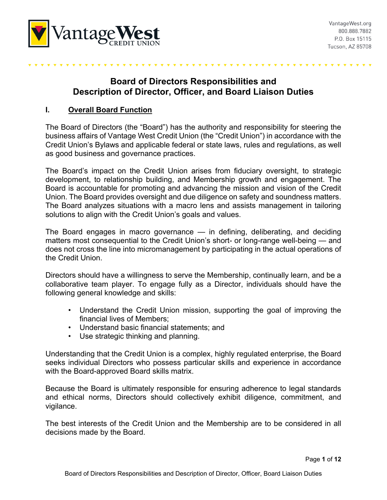

# **Board of Directors Responsibilities and Description of Director, Officer, and Board Liaison Duties**

### **I. Overall Board Function**

The Board of Directors (the "Board") has the authority and responsibility for steering the business affairs of Vantage West Credit Union (the "Credit Union") in accordance with the Credit Union's Bylaws and applicable federal or state laws, rules and regulations, as well as good business and governance practices.

The Board's impact on the Credit Union arises from fiduciary oversight, to strategic development, to relationship building, and Membership growth and engagement. The Board is accountable for promoting and advancing the mission and vision of the Credit Union. The Board provides oversight and due diligence on safety and soundness matters. The Board analyzes situations with a macro lens and assists management in tailoring solutions to align with the Credit Union's goals and values.

The Board engages in macro governance — in defining, deliberating, and deciding matters most consequential to the Credit Union's short- or long-range well-being — and does not cross the line into micromanagement by participating in the actual operations of the Credit Union.

Directors should have a willingness to serve the Membership, continually learn, and be a collaborative team player. To engage fully as a Director, individuals should have the following general knowledge and skills:

- Understand the Credit Union mission, supporting the goal of improving the financial lives of Members;
- Understand basic financial statements; and
- Use strategic thinking and planning.

Understanding that the Credit Union is a complex, highly regulated enterprise, the Board seeks individual Directors who possess particular skills and experience in accordance with the Board-approved Board skills matrix.

Because the Board is ultimately responsible for ensuring adherence to legal standards and ethical norms, Directors should collectively exhibit diligence, commitment, and vigilance.

The best interests of the Credit Union and the Membership are to be considered in all decisions made by the Board.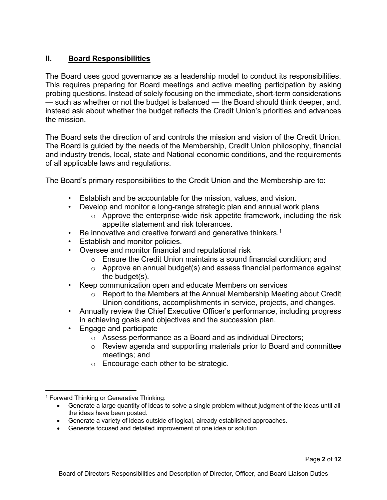# **II. Board Responsibilities**

The Board uses good governance as a leadership model to conduct its responsibilities. This requires preparing for Board meetings and active meeting participation by asking probing questions. Instead of solely focusing on the immediate, short-term considerations — such as whether or not the budget is balanced — the Board should think deeper, and, instead ask about whether the budget reflects the Credit Union's priorities and advances the mission.

The Board sets the direction of and controls the mission and vision of the Credit Union. The Board is guided by the needs of the Membership, Credit Union philosophy, financial and industry trends, local, state and National economic conditions, and the requirements of all applicable laws and regulations.

The Board's primary responsibilities to the Credit Union and the Membership are to:

- Establish and be accountable for the mission, values, and vision.
- Develop and monitor a long-range strategic plan and annual work plans
	- $\circ$  Approve the enterprise-wide risk appetite framework, including the risk appetite statement and risk tolerances.
- $\cdot$  Be innovative and creative forward and generative thinkers.<sup>1</sup>
- Establish and monitor policies.
- Oversee and monitor financial and reputational risk
	- o Ensure the Credit Union maintains a sound financial condition; and
	- $\circ$  Approve an annual budget(s) and assess financial performance against the budget(s).
- Keep communication open and educate Members on services
	- $\circ$  Report to the Members at the Annual Membership Meeting about Credit Union conditions, accomplishments in service, projects, and changes.
- Annually review the Chief Executive Officer's performance, including progress in achieving goals and objectives and the succession plan.
- Engage and participate
	- o Assess performance as a Board and as individual Directors;
	- o Review agenda and supporting materials prior to Board and committee meetings; and
	- o Encourage each other to be strategic.

<sup>&</sup>lt;sup>1</sup> Forward Thinking or Generative Thinking:

Generate a large quantity of ideas to solve a single problem without judgment of the ideas until all the ideas have been posted.

Generate a variety of ideas outside of logical, already established approaches.

Generate focused and detailed improvement of one idea or solution.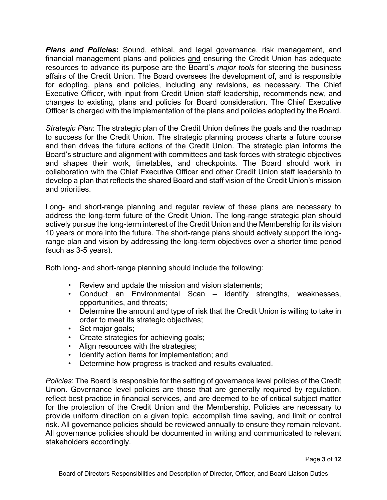*Plans and Policies***:** Sound, ethical, and legal governance, risk management, and financial management plans and policies and ensuring the Credit Union has adequate resources to advance its purpose are the Board's *major tools* for steering the business affairs of the Credit Union. The Board oversees the development of, and is responsible for adopting, plans and policies, including any revisions, as necessary. The Chief Executive Officer, with input from Credit Union staff leadership, recommends new, and changes to existing, plans and policies for Board consideration. The Chief Executive Officer is charged with the implementation of the plans and policies adopted by the Board.

*Strategic Plan*: The strategic plan of the Credit Union defines the goals and the roadmap to success for the Credit Union. The strategic planning process charts a future course and then drives the future actions of the Credit Union. The strategic plan informs the Board's structure and alignment with committees and task forces with strategic objectives and shapes their work, timetables, and checkpoints. The Board should work in collaboration with the Chief Executive Officer and other Credit Union staff leadership to develop a plan that reflects the shared Board and staff vision of the Credit Union's mission and priorities.

Long- and short-range planning and regular review of these plans are necessary to address the long-term future of the Credit Union. The long-range strategic plan should actively pursue the long-term interest of the Credit Union and the Membership for its vision 10 years or more into the future. The short-range plans should actively support the longrange plan and vision by addressing the long-term objectives over a shorter time period (such as 3-5 years).

Both long- and short-range planning should include the following:

- Review and update the mission and vision statements;
- Conduct an Environmental Scan identify strengths, weaknesses, opportunities, and threats;
- Determine the amount and type of risk that the Credit Union is willing to take in order to meet its strategic objectives;
- Set major goals;
- Create strategies for achieving goals;
- Align resources with the strategies;
- Identify action items for implementation; and
- Determine how progress is tracked and results evaluated.

*Policies*: The Board is responsible for the setting of governance level policies of the Credit Union. Governance level policies are those that are generally required by regulation, reflect best practice in financial services, and are deemed to be of critical subject matter for the protection of the Credit Union and the Membership. Policies are necessary to provide uniform direction on a given topic, accomplish time saving, and limit or control risk. All governance policies should be reviewed annually to ensure they remain relevant. All governance policies should be documented in writing and communicated to relevant stakeholders accordingly.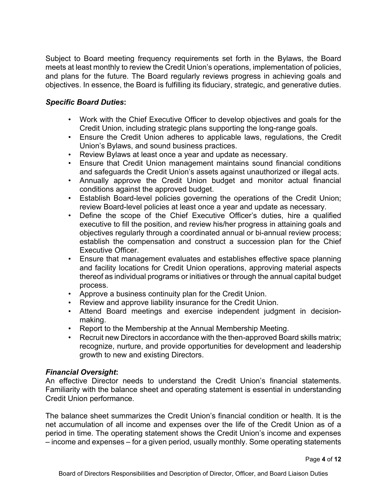Subject to Board meeting frequency requirements set forth in the Bylaws, the Board meets at least monthly to review the Credit Union's operations, implementation of policies, and plans for the future. The Board regularly reviews progress in achieving goals and objectives. In essence, the Board is fulfilling its fiduciary, strategic, and generative duties.

### *Specific Board Duties***:**

- Work with the Chief Executive Officer to develop objectives and goals for the Credit Union, including strategic plans supporting the long-range goals.
- Ensure the Credit Union adheres to applicable laws, regulations, the Credit Union's Bylaws, and sound business practices.
- Review Bylaws at least once a year and update as necessary.
- Ensure that Credit Union management maintains sound financial conditions and safeguards the Credit Union's assets against unauthorized or illegal acts.
- Annually approve the Credit Union budget and monitor actual financial conditions against the approved budget.
- Establish Board-level policies governing the operations of the Credit Union; review Board-level policies at least once a year and update as necessary.
- Define the scope of the Chief Executive Officer's duties, hire a qualified executive to fill the position, and review his/her progress in attaining goals and objectives regularly through a coordinated annual or bi-annual review process; establish the compensation and construct a succession plan for the Chief Executive Officer.
- Ensure that management evaluates and establishes effective space planning and facility locations for Credit Union operations, approving material aspects thereof as individual programs or initiatives or through the annual capital budget process.
- Approve a business continuity plan for the Credit Union.
- Review and approve liability insurance for the Credit Union.
- Attend Board meetings and exercise independent judgment in decisionmaking.
- Report to the Membership at the Annual Membership Meeting.
- Recruit new Directors in accordance with the then-approved Board skills matrix; recognize, nurture, and provide opportunities for development and leadership growth to new and existing Directors.

#### *Financial Oversight***:**

An effective Director needs to understand the Credit Union's financial statements. Familiarity with the balance sheet and operating statement is essential in understanding Credit Union performance.

The balance sheet summarizes the Credit Union's financial condition or health. It is the net accumulation of all income and expenses over the life of the Credit Union as of a period in time. The operating statement shows the Credit Union's income and expenses – income and expenses – for a given period, usually monthly. Some operating statements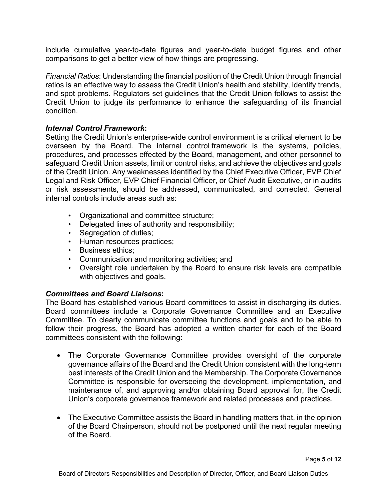include cumulative year-to-date figures and year-to-date budget figures and other comparisons to get a better view of how things are progressing.

*Financial Ratios*: Understanding the financial position of the Credit Union through financial ratios is an effective way to assess the Credit Union's health and stability, identify trends, and spot problems. Regulators set guidelines that the Credit Union follows to assist the Credit Union to judge its performance to enhance the safeguarding of its financial condition.

#### *Internal Control Framework***:**

Setting the Credit Union's enterprise-wide control environment is a critical element to be overseen by the Board. The internal control framework is the systems, policies, procedures, and processes effected by the Board, management, and other personnel to safeguard Credit Union assets, limit or control risks, and achieve the objectives and goals of the Credit Union. Any weaknesses identified by the Chief Executive Officer, EVP Chief Legal and Risk Officer, EVP Chief Financial Officer, or Chief Audit Executive, or in audits or risk assessments, should be addressed, communicated, and corrected. General internal controls include areas such as:

- Organizational and committee structure;
- Delegated lines of authority and responsibility;
- Segregation of duties;
- Human resources practices;
- Business ethics;
- Communication and monitoring activities; and
- Oversight role undertaken by the Board to ensure risk levels are compatible with objectives and goals.

#### *Committees and Board Liaisons***:**

The Board has established various Board committees to assist in discharging its duties. Board committees include a Corporate Governance Committee and an Executive Committee. To clearly communicate committee functions and goals and to be able to follow their progress, the Board has adopted a written charter for each of the Board committees consistent with the following:

- The Corporate Governance Committee provides oversight of the corporate governance affairs of the Board and the Credit Union consistent with the long-term best interests of the Credit Union and the Membership. The Corporate Governance Committee is responsible for overseeing the development, implementation, and maintenance of, and approving and/or obtaining Board approval for, the Credit Union's corporate governance framework and related processes and practices.
- The Executive Committee assists the Board in handling matters that, in the opinion of the Board Chairperson, should not be postponed until the next regular meeting of the Board.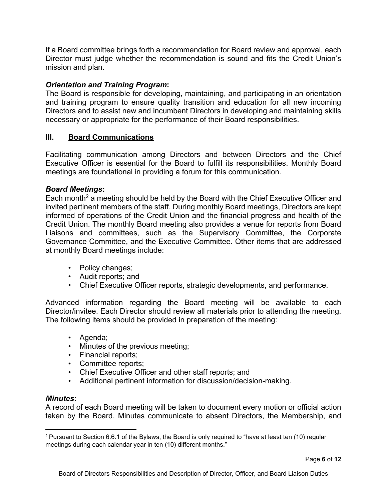If a Board committee brings forth a recommendation for Board review and approval, each Director must judge whether the recommendation is sound and fits the Credit Union's mission and plan.

# *Orientation and Training Program***:**

The Board is responsible for developing, maintaining, and participating in an orientation and training program to ensure quality transition and education for all new incoming Directors and to assist new and incumbent Directors in developing and maintaining skills necessary or appropriate for the performance of their Board responsibilities.

# **III. Board Communications**

Facilitating communication among Directors and between Directors and the Chief Executive Officer is essential for the Board to fulfill its responsibilities. Monthly Board meetings are foundational in providing a forum for this communication.

### *Board Meetings***:**

Each month<sup>2</sup> a meeting should be held by the Board with the Chief Executive Officer and invited pertinent members of the staff. During monthly Board meetings, Directors are kept informed of operations of the Credit Union and the financial progress and health of the Credit Union. The monthly Board meeting also provides a venue for reports from Board Liaisons and committees, such as the Supervisory Committee, the Corporate Governance Committee, and the Executive Committee. Other items that are addressed at monthly Board meetings include:

- Policy changes;
- Audit reports; and
- Chief Executive Officer reports, strategic developments, and performance.

Advanced information regarding the Board meeting will be available to each Director/invitee. Each Director should review all materials prior to attending the meeting. The following items should be provided in preparation of the meeting:

- Agenda;
- Minutes of the previous meeting;
- Financial reports;
- Committee reports;
- Chief Executive Officer and other staff reports; and
- Additional pertinent information for discussion/decision-making.

#### *Minutes***:**

A record of each Board meeting will be taken to document every motion or official action taken by the Board. Minutes communicate to absent Directors, the Membership, and

<sup>2</sup> Pursuant to Section 6.6.1 of the Bylaws, the Board is only required to "have at least ten (10) regular meetings during each calendar year in ten (10) different months."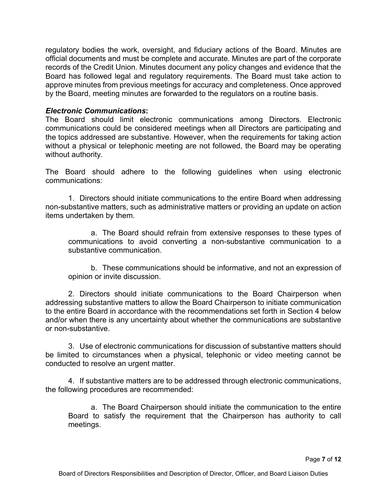regulatory bodies the work, oversight, and fiduciary actions of the Board. Minutes are official documents and must be complete and accurate. Minutes are part of the corporate records of the Credit Union. Minutes document any policy changes and evidence that the Board has followed legal and regulatory requirements. The Board must take action to approve minutes from previous meetings for accuracy and completeness. Once approved by the Board, meeting minutes are forwarded to the regulators on a routine basis.

#### *Electronic Communications***:**

The Board should limit electronic communications among Directors. Electronic communications could be considered meetings when all Directors are participating and the topics addressed are substantive. However, when the requirements for taking action without a physical or telephonic meeting are not followed, the Board may be operating without authority.

The Board should adhere to the following guidelines when using electronic communications:

1. Directors should initiate communications to the entire Board when addressing non-substantive matters, such as administrative matters or providing an update on action items undertaken by them.

a. The Board should refrain from extensive responses to these types of communications to avoid converting a non-substantive communication to a substantive communication.

b. These communications should be informative, and not an expression of opinion or invite discussion.

2. Directors should initiate communications to the Board Chairperson when addressing substantive matters to allow the Board Chairperson to initiate communication to the entire Board in accordance with the recommendations set forth in Section 4 below and/or when there is any uncertainty about whether the communications are substantive or non-substantive.

3. Use of electronic communications for discussion of substantive matters should be limited to circumstances when a physical, telephonic or video meeting cannot be conducted to resolve an urgent matter.

4. If substantive matters are to be addressed through electronic communications, the following procedures are recommended:

a. The Board Chairperson should initiate the communication to the entire Board to satisfy the requirement that the Chairperson has authority to call meetings.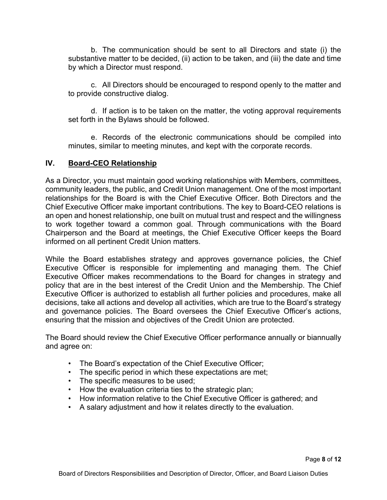b. The communication should be sent to all Directors and state (i) the substantive matter to be decided, (ii) action to be taken, and (iii) the date and time by which a Director must respond.

c. All Directors should be encouraged to respond openly to the matter and to provide constructive dialog.

d. If action is to be taken on the matter, the voting approval requirements set forth in the Bylaws should be followed.

e. Records of the electronic communications should be compiled into minutes, similar to meeting minutes, and kept with the corporate records.

### **IV. Board-CEO Relationship**

As a Director, you must maintain good working relationships with Members, committees, community leaders, the public, and Credit Union management. One of the most important relationships for the Board is with the Chief Executive Officer. Both Directors and the Chief Executive Officer make important contributions. The key to Board-CEO relations is an open and honest relationship, one built on mutual trust and respect and the willingness to work together toward a common goal. Through communications with the Board Chairperson and the Board at meetings, the Chief Executive Officer keeps the Board informed on all pertinent Credit Union matters.

While the Board establishes strategy and approves governance policies, the Chief Executive Officer is responsible for implementing and managing them. The Chief Executive Officer makes recommendations to the Board for changes in strategy and policy that are in the best interest of the Credit Union and the Membership. The Chief Executive Officer is authorized to establish all further policies and procedures, make all decisions, take all actions and develop all activities, which are true to the Board's strategy and governance policies. The Board oversees the Chief Executive Officer's actions, ensuring that the mission and objectives of the Credit Union are protected.

The Board should review the Chief Executive Officer performance annually or biannually and agree on:

- The Board's expectation of the Chief Executive Officer;
- The specific period in which these expectations are met;
- The specific measures to be used;
- How the evaluation criteria ties to the strategic plan;
- How information relative to the Chief Executive Officer is gathered; and
- A salary adjustment and how it relates directly to the evaluation.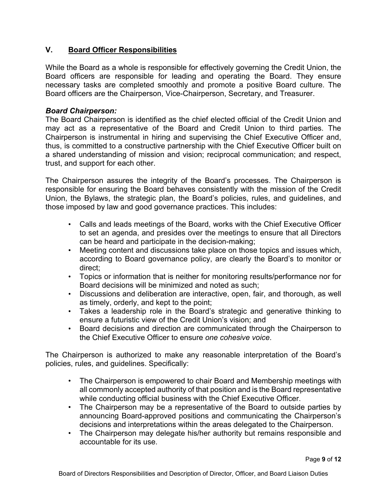# **V. Board Officer Responsibilities**

While the Board as a whole is responsible for effectively governing the Credit Union, the Board officers are responsible for leading and operating the Board. They ensure necessary tasks are completed smoothly and promote a positive Board culture. The Board officers are the Chairperson, Vice-Chairperson, Secretary, and Treasurer.

#### *Board Chairperson:*

The Board Chairperson is identified as the chief elected official of the Credit Union and may act as a representative of the Board and Credit Union to third parties. The Chairperson is instrumental in hiring and supervising the Chief Executive Officer and, thus, is committed to a constructive partnership with the Chief Executive Officer built on a shared understanding of mission and vision; reciprocal communication; and respect, trust, and support for each other.

The Chairperson assures the integrity of the Board's processes. The Chairperson is responsible for ensuring the Board behaves consistently with the mission of the Credit Union, the Bylaws, the strategic plan, the Board's policies, rules, and guidelines, and those imposed by law and good governance practices. This includes:

- Calls and leads meetings of the Board, works with the Chief Executive Officer to set an agenda, and presides over the meetings to ensure that all Directors can be heard and participate in the decision-making;
- Meeting content and discussions take place on those topics and issues which, according to Board governance policy, are clearly the Board's to monitor or direct;
- Topics or information that is neither for monitoring results/performance nor for Board decisions will be minimized and noted as such;
- Discussions and deliberation are interactive, open, fair, and thorough, as well as timely, orderly, and kept to the point;
- Takes a leadership role in the Board's strategic and generative thinking to ensure a futuristic view of the Credit Union's vision; and
- Board decisions and direction are communicated through the Chairperson to the Chief Executive Officer to ensure *one cohesive voice*.

The Chairperson is authorized to make any reasonable interpretation of the Board's policies, rules, and guidelines. Specifically:

- The Chairperson is empowered to chair Board and Membership meetings with all commonly accepted authority of that position and is the Board representative while conducting official business with the Chief Executive Officer.
- The Chairperson may be a representative of the Board to outside parties by announcing Board-approved positions and communicating the Chairperson's decisions and interpretations within the areas delegated to the Chairperson.
- The Chairperson may delegate his/her authority but remains responsible and accountable for its use.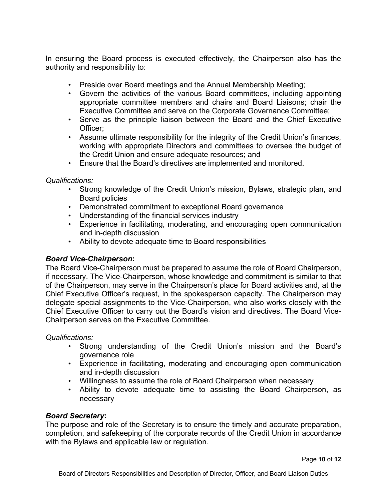In ensuring the Board process is executed effectively, the Chairperson also has the authority and responsibility to:

- Preside over Board meetings and the Annual Membership Meeting;
- Govern the activities of the various Board committees, including appointing appropriate committee members and chairs and Board Liaisons; chair the Executive Committee and serve on the Corporate Governance Committee;
- Serve as the principle liaison between the Board and the Chief Executive Officer;
- Assume ultimate responsibility for the integrity of the Credit Union's finances, working with appropriate Directors and committees to oversee the budget of the Credit Union and ensure adequate resources; and
- Ensure that the Board's directives are implemented and monitored.

### *Qualifications:*

- Strong knowledge of the Credit Union's mission, Bylaws, strategic plan, and Board policies
- Demonstrated commitment to exceptional Board governance
- Understanding of the financial services industry
- Experience in facilitating, moderating, and encouraging open communication and in-depth discussion
- Ability to devote adequate time to Board responsibilities

# *Board Vice-Chairperson***:**

The Board Vice-Chairperson must be prepared to assume the role of Board Chairperson, if necessary. The Vice-Chairperson, whose knowledge and commitment is similar to that of the Chairperson, may serve in the Chairperson's place for Board activities and, at the Chief Executive Officer's request, in the spokesperson capacity. The Chairperson may delegate special assignments to the Vice-Chairperson, who also works closely with the Chief Executive Officer to carry out the Board's vision and directives. The Board Vice-Chairperson serves on the Executive Committee.

*Qualifications:* 

- Strong understanding of the Credit Union's mission and the Board's governance role
- Experience in facilitating, moderating and encouraging open communication and in-depth discussion
- Willingness to assume the role of Board Chairperson when necessary
- Ability to devote adequate time to assisting the Board Chairperson, as necessary

# *Board Secretary***:**

The purpose and role of the Secretary is to ensure the timely and accurate preparation, completion, and safekeeping of the corporate records of the Credit Union in accordance with the Bylaws and applicable law or regulation.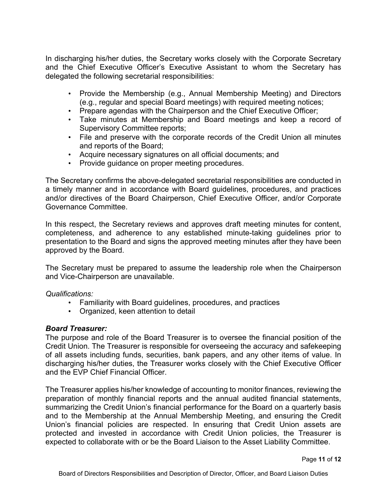In discharging his/her duties, the Secretary works closely with the Corporate Secretary and the Chief Executive Officer's Executive Assistant to whom the Secretary has delegated the following secretarial responsibilities:

- Provide the Membership (e.g., Annual Membership Meeting) and Directors (e.g., regular and special Board meetings) with required meeting notices;
- Prepare agendas with the Chairperson and the Chief Executive Officer;
- Take minutes at Membership and Board meetings and keep a record of Supervisory Committee reports;
- File and preserve with the corporate records of the Credit Union all minutes and reports of the Board;
- Acquire necessary signatures on all official documents; and
- Provide guidance on proper meeting procedures.

The Secretary confirms the above-delegated secretarial responsibilities are conducted in a timely manner and in accordance with Board guidelines, procedures, and practices and/or directives of the Board Chairperson, Chief Executive Officer, and/or Corporate Governance Committee.

In this respect, the Secretary reviews and approves draft meeting minutes for content, completeness, and adherence to any established minute-taking guidelines prior to presentation to the Board and signs the approved meeting minutes after they have been approved by the Board.

The Secretary must be prepared to assume the leadership role when the Chairperson and Vice-Chairperson are unavailable.

#### *Qualifications:*

- Familiarity with Board guidelines, procedures, and practices
- Organized, keen attention to detail

#### *Board Treasurer:*

The purpose and role of the Board Treasurer is to oversee the financial position of the Credit Union. The Treasurer is responsible for overseeing the accuracy and safekeeping of all assets including funds, securities, bank papers, and any other items of value. In discharging his/her duties, the Treasurer works closely with the Chief Executive Officer and the EVP Chief Financial Officer.

The Treasurer applies his/her knowledge of accounting to monitor finances, reviewing the preparation of monthly financial reports and the annual audited financial statements, summarizing the Credit Union's financial performance for the Board on a quarterly basis and to the Membership at the Annual Membership Meeting, and ensuring the Credit Union's financial policies are respected. In ensuring that Credit Union assets are protected and invested in accordance with Credit Union policies, the Treasurer is expected to collaborate with or be the Board Liaison to the Asset Liability Committee.